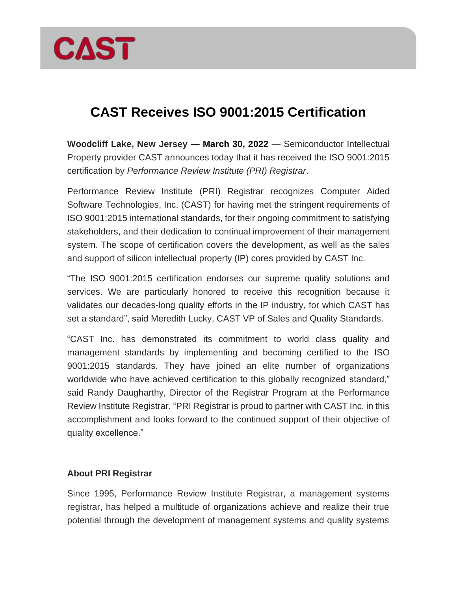

## **CAST Receives ISO 9001:2015 Certification**

**Woodcliff Lake, New Jersey — March 30, 2022** — Semiconductor Intellectual Property provider CAST announces today that it has received the ISO 9001:2015 certification by *Performance Review Institute (PRI) Registrar*.

Performance Review Institute (PRI) Registrar recognizes Computer Aided Software Technologies, Inc. (CAST) for having met the stringent requirements of ISO 9001:2015 international standards, for their ongoing commitment to satisfying stakeholders, and their dedication to continual improvement of their management system. The scope of certification covers the development, as well as the sales and support of silicon intellectual property (IP) cores provided by CAST Inc.

"The ISO 9001:2015 certification endorses our supreme quality solutions and services. We are particularly honored to receive this recognition because it validates our decades-long quality efforts in the IP industry, for which CAST has set a standard", said Meredith Lucky, CAST VP of Sales and Quality Standards.

"CAST Inc. has demonstrated its commitment to world class quality and management standards by implementing and becoming certified to the ISO 9001:2015 standards. They have joined an elite number of organizations worldwide who have achieved certification to this globally recognized standard," said Randy Daugharthy, Director of the Registrar Program at the Performance Review Institute Registrar. "PRI Registrar is proud to partner with CAST Inc. in this accomplishment and looks forward to the continued support of their objective of quality excellence."

## **About PRI Registrar**

Since 1995, Performance Review Institute Registrar, a management systems registrar, has helped a multitude of organizations achieve and realize their true potential through the development of management systems and quality systems